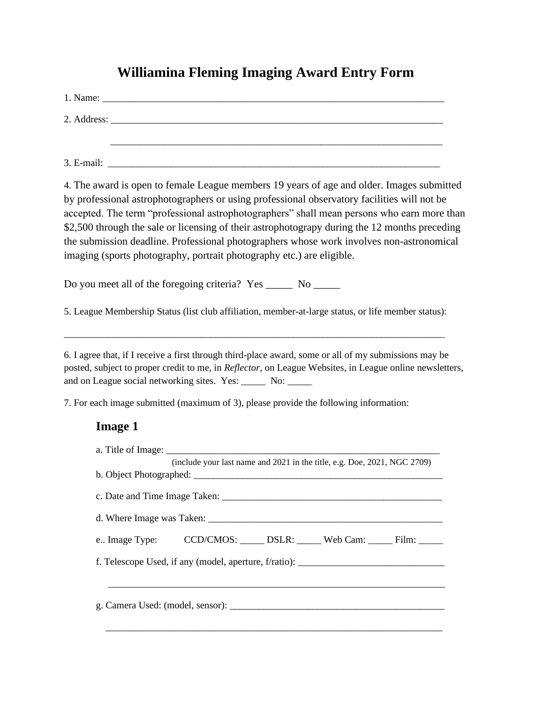## **Williamina Fleming Imaging Award Entry Form**

|            | 2. Address: |  |
|------------|-------------|--|
|            |             |  |
| 3. E-mail: |             |  |

4. The award is open to female League members 19 years of age and older. Images submitted by professional astrophotographers or using professional observatory facilities will not be accepted. The term "professional astrophotographers" shall mean persons who earn more than \$2,500 through the sale or licensing of their astrophotograpy during the 12 months preceding the submission deadline. Professional photographers whose work involves non-astronomical imaging (sports photography, portrait photography etc.) are eligible.

Do you meet all of the foregoing criteria? Yes \_\_\_\_\_\_ No \_\_\_\_\_\_

5. League Membership Status (list club affiliation, member-at-large status, or life member status):

\_\_\_\_\_\_\_\_\_\_\_\_\_\_\_\_\_\_\_\_\_\_\_\_\_\_\_\_\_\_\_\_\_\_\_\_\_\_\_\_\_\_\_\_\_\_\_\_\_\_\_\_\_\_\_\_\_\_\_\_\_\_\_\_\_\_\_\_\_\_\_\_\_\_\_\_\_\_

6. I agree that, if I receive a first through third-place award, some or all of my submissions may be posted, subject to proper credit to me, in *Reflector*, on League Websites, in League online newsletters, and on League social networking sites. Yes: \_\_\_\_\_ No: \_\_\_\_\_

7. For each image submitted (maximum of 3), please provide the following information:

## **Image 1**

| e Image Type: CCD/CMOS: ______ DSLR: ______ Web Cam: ______ Film: ______         |
|----------------------------------------------------------------------------------|
| f. Telescope Used, if any (model, aperture, f/ratio): __________________________ |
|                                                                                  |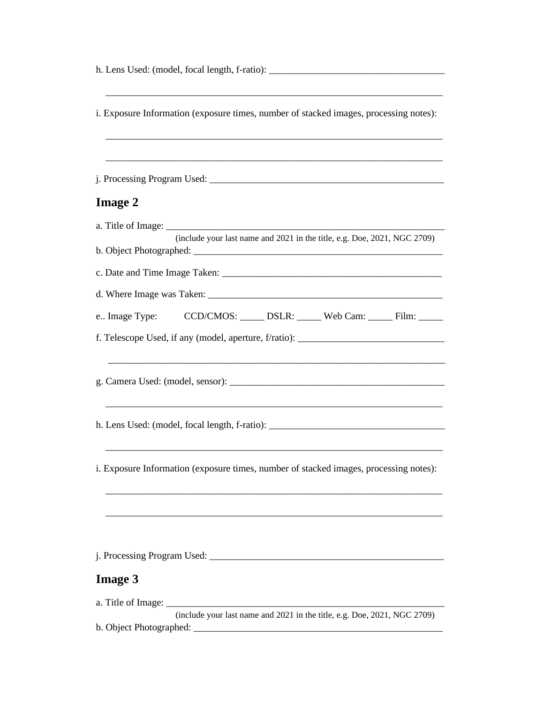h. Lens Used: (model, focal length, f-ratio): \_\_\_\_\_\_\_\_\_\_\_\_\_\_\_\_\_\_\_\_\_\_\_\_\_\_\_\_\_\_\_\_\_\_\_ \_\_\_\_\_\_\_\_\_\_\_\_\_\_\_\_\_\_\_\_\_\_\_\_\_\_\_\_\_\_\_\_\_\_\_\_\_\_\_\_\_\_\_\_\_\_\_\_\_\_\_\_\_\_\_\_\_\_\_\_\_\_\_\_\_\_\_\_\_ i. Exposure Information (exposure times, number of stacked images, processing notes): \_\_\_\_\_\_\_\_\_\_\_\_\_\_\_\_\_\_\_\_\_\_\_\_\_\_\_\_\_\_\_\_\_\_\_\_\_\_\_\_\_\_\_\_\_\_\_\_\_\_\_\_\_\_\_\_\_\_\_\_\_\_\_\_\_\_\_\_\_ \_\_\_\_\_\_\_\_\_\_\_\_\_\_\_\_\_\_\_\_\_\_\_\_\_\_\_\_\_\_\_\_\_\_\_\_\_\_\_\_\_\_\_\_\_\_\_\_\_\_\_\_\_\_\_\_\_\_\_\_\_\_\_\_\_\_\_\_\_ j. Processing Program Used: \_\_\_\_\_\_\_\_\_\_\_\_\_\_\_\_\_\_\_\_\_\_\_\_\_\_\_\_\_\_\_\_\_\_\_\_\_\_\_\_\_\_\_\_\_\_\_\_ **Image 2** a. Title of Image: (include your last name and 2021 in the title, e.g. Doe, 2021, NGC 2709) b. Object Photographed: \_\_\_\_\_\_\_\_\_\_\_\_\_\_\_\_\_\_\_\_\_\_\_\_\_\_\_\_\_\_\_\_\_\_\_\_\_\_\_\_\_\_\_\_\_\_\_\_\_\_\_ c. Date and Time Image Taken: \_\_\_\_\_\_\_\_\_\_\_\_\_\_\_\_\_\_\_\_\_\_\_\_\_\_\_\_\_\_\_\_\_\_\_\_\_\_\_\_\_\_\_\_\_ d. Where Image was Taken: \_\_\_\_\_\_\_\_\_\_\_\_\_\_\_\_\_\_\_\_\_\_\_\_\_\_\_\_\_\_\_\_\_\_\_\_\_\_\_\_\_\_\_\_\_\_\_\_ e.. Image Type: CCD/CMOS: DSLR: Web Cam: Film: f. Telescope Used, if any (model, aperture,  $f$ /ratio): \_\_\_\_\_\_\_\_\_\_\_\_\_\_\_\_\_\_\_\_\_\_\_\_\_\_\_\_\_\_\_\_\_\_\_\_\_\_\_\_\_\_\_\_\_\_\_\_\_\_\_\_\_\_\_\_\_\_\_\_\_\_\_\_\_\_\_\_\_ g. Camera Used: (model, sensor): \_\_\_\_\_\_\_\_\_\_\_\_\_\_\_\_\_\_\_\_\_\_\_\_\_\_\_\_\_\_\_\_\_\_\_\_\_\_\_\_\_\_\_\_ \_\_\_\_\_\_\_\_\_\_\_\_\_\_\_\_\_\_\_\_\_\_\_\_\_\_\_\_\_\_\_\_\_\_\_\_\_\_\_\_\_\_\_\_\_\_\_\_\_\_\_\_\_\_\_\_\_\_\_\_\_\_\_\_\_\_\_\_\_ h. Lens Used: (model, focal length, f-ratio): \_\_\_\_\_\_\_\_\_\_\_\_\_\_\_\_\_\_\_\_\_\_\_\_\_\_\_\_\_\_\_\_\_\_\_\_ \_\_\_\_\_\_\_\_\_\_\_\_\_\_\_\_\_\_\_\_\_\_\_\_\_\_\_\_\_\_\_\_\_\_\_\_\_\_\_\_\_\_\_\_\_\_\_\_\_\_\_\_\_\_\_\_\_\_\_\_\_\_\_\_\_\_\_\_\_ i. Exposure Information (exposure times, number of stacked images, processing notes): \_\_\_\_\_\_\_\_\_\_\_\_\_\_\_\_\_\_\_\_\_\_\_\_\_\_\_\_\_\_\_\_\_\_\_\_\_\_\_\_\_\_\_\_\_\_\_\_\_\_\_\_\_\_\_\_\_\_\_\_\_\_\_\_\_\_\_\_\_ \_\_\_\_\_\_\_\_\_\_\_\_\_\_\_\_\_\_\_\_\_\_\_\_\_\_\_\_\_\_\_\_\_\_\_\_\_\_\_\_\_\_\_\_\_\_\_\_\_\_\_\_\_\_\_\_\_\_\_\_\_\_\_\_\_\_\_\_\_ j. Processing Program Used: \_\_\_\_\_\_\_\_\_\_\_\_\_\_\_\_\_\_\_\_\_\_\_\_\_\_\_\_\_\_\_\_\_\_\_\_\_\_\_\_\_\_\_\_\_\_\_\_ **Image 3** a. Title of Image: (include your last name and 2021 in the title, e.g. Doe, 2021, NGC 2709)

b. Object Photographed: